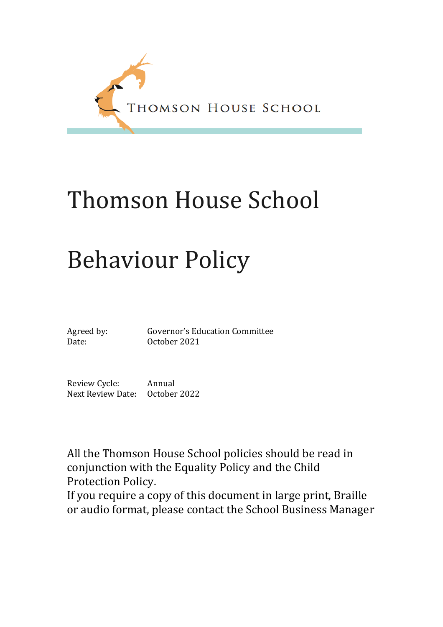

# Thomson House School

# Behaviour Policy

Agreed by: Governor's Education Committee Date: 0ctober 2021

Review Cycle: Annual Next Review Date: October 2022

All the Thomson House School policies should be read in conjunction with the Equality Policy and the Child Protection Policy.

If you require a copy of this document in large print, Braille or audio format, please contact the School Business Manager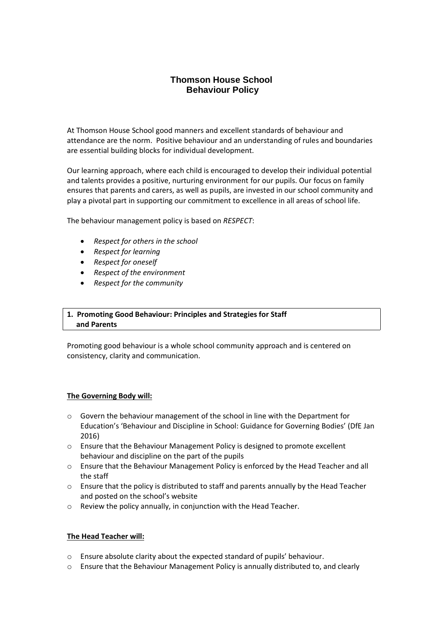## **Thomson House School Behaviour Policy**

At Thomson House School good manners and excellent standards of behaviour and attendance are the norm. Positive behaviour and an understanding of rules and boundaries are essential building blocks for individual development.

Our learning approach, where each child is encouraged to develop their individual potential and talents provides a positive, nurturing environment for our pupils. Our focus on family ensures that parents and carers, as well as pupils, are invested in our school community and play a pivotal part in supporting our commitment to excellence in all areas of school life.

The behaviour management policy is based on *RESPECT*:

- *Respect for others in the school*
- *Respect for learning*
- *Respect for oneself*
- *Respect of the environment*
- *Respect for the community*

## **1. Promoting Good Behaviour: Principles and Strategies for Staff and Parents**

Promoting good behaviour is a whole school community approach and is centered on consistency, clarity and communication.

#### **The Governing Body will:**

- o Govern the behaviour management of the school in line with the Department for Education's 'Behaviour and Discipline in School: Guidance for Governing Bodies' (DfE Jan 2016)
- o Ensure that the Behaviour Management Policy is designed to promote excellent behaviour and discipline on the part of the pupils
- o Ensure that the Behaviour Management Policy is enforced by the Head Teacher and all the staff
- o Ensure that the policy is distributed to staff and parents annually by the Head Teacher and posted on the school's website
- o Review the policy annually, in conjunction with the Head Teacher.

## **The Head Teacher will:**

- o Ensure absolute clarity about the expected standard of pupils' behaviour.
- o Ensure that the Behaviour Management Policy is annually distributed to, and clearly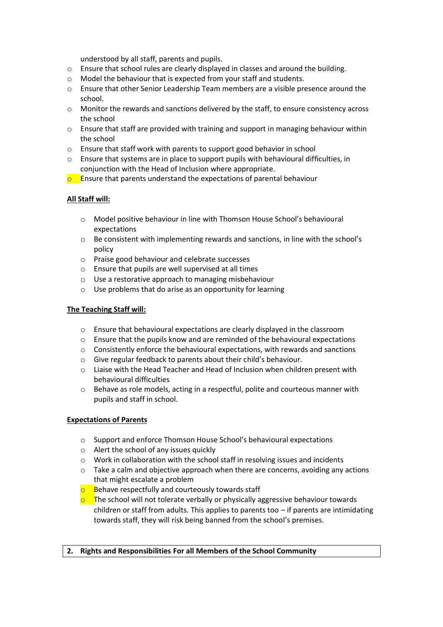understood by all staff, parents and pupils.

- o Ensure that school rules are clearly displayed in classes and around the building.
- o Model the behaviour that is expected from your staff and students.
- o Ensure that other Senior Leadership Team members are a visible presence around the school.
- $\circ$  Monitor the rewards and sanctions delivered by the staff, to ensure consistency across the school
- $\circ$  Ensure that staff are provided with training and support in managing behaviour within the school
- o Ensure that staff work with parents to support good behavior in school
- $\circ$  Ensure that systems are in place to support pupils with behavioural difficulties, in conjunction with the Head of Inclusion where appropriate.
- **o** Ensure that parents understand the expectations of parental behaviour

## **All Staff will:**

- o Model positive behaviour in line with Thomson House School's behavioural expectations
- $\circ$  Be consistent with implementing rewards and sanctions, in line with the school's policy
- o Praise good behaviour and celebrate successes
- o Ensure that pupils are well supervised at all times
- o Use a restorative approach to managing misbehaviour
- o Use problems that do arise as an opportunity for learning

## **The Teaching Staff will:**

- o Ensure that behavioural expectations are clearly displayed in the classroom
- $\circ$  Ensure that the pupils know and are reminded of the behavioural expectations
- o Consistently enforce the behavioural expectations, with rewards and sanctions
- o Give regular feedback to parents about their child's behaviour.
- o Liaise with the Head Teacher and Head of Inclusion when children present with behavioural difficulties
- $\circ$  Behave as role models, acting in a respectful, polite and courteous manner with pupils and staff in school.

## **Expectations of Parents**

- o Support and enforce Thomson House School's behavioural expectations
- o Alert the school of any issues quickly
- o Work in collaboration with the school staff in resolving issues and incidents
- $\circ$  Take a calm and objective approach when there are concerns, avoiding any actions that might escalate a problem
- $\circ$  Behave respectfully and courteously towards staff
- $\circ$  The school will not tolerate verbally or physically aggressive behaviour towards children or staff from adults. This applies to parents too  $-$  if parents are intimidating towards staff, they will risk being banned from the school's premises.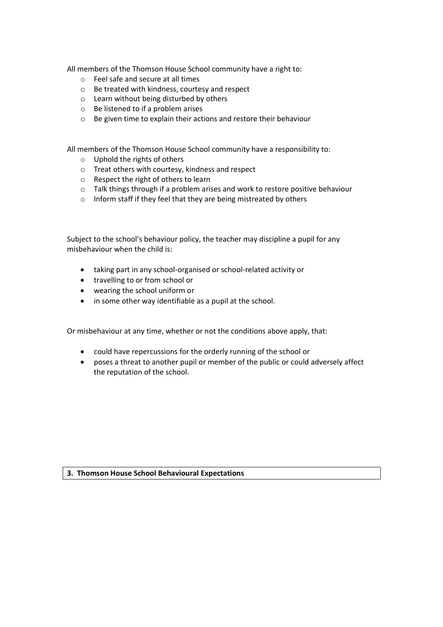All members of the Thomson House School community have a right to:

- o Feel safe and secure at all times
- o Be treated with kindness, courtesy and respect
- o Learn without being disturbed by others
- o Be listened to if a problem arises
- o Be given time to explain their actions and restore their behaviour

All members of the Thomson House School community have a responsibility to:

- o Uphold the rights of others
- o Treat others with courtesy, kindness and respect
- o Respect the right of others to learn
- o Talk things through if a problem arises and work to restore positive behaviour
- o Inform staff if they feel that they are being mistreated by others

Subject to the school's behaviour policy, the teacher may discipline a pupil for any misbehaviour when the child is:

- taking part in any school-organised or school-related activity or
- travelling to or from school or
- wearing the school uniform or
- in some other way identifiable as a pupil at the school.

Or misbehaviour at any time, whether or not the conditions above apply, that:

- could have repercussions for the orderly running of the school or
- poses a threat to another pupil or member of the public or could adversely affect the reputation of the school.

**3. Thomson House School Behavioural Expectations**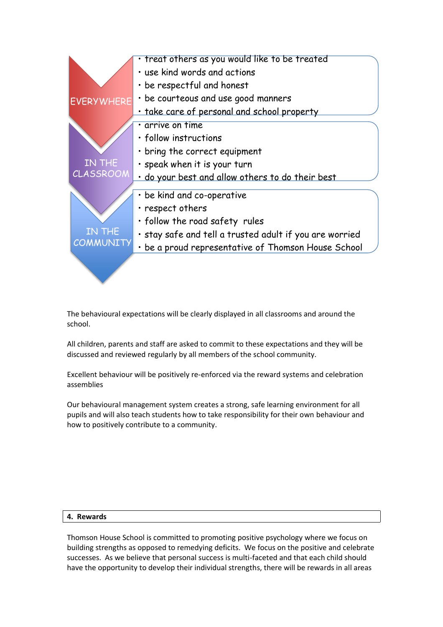

The behavioural expectations will be clearly displayed in all classrooms and around the school.

All children, parents and staff are asked to commit to these expectations and they will be discussed and reviewed regularly by all members of the school community.

Excellent behaviour will be positively re-enforced via the reward systems and celebration assemblies

Our behavioural management system creates a strong, safe learning environment for all pupils and will also teach students how to take responsibility for their own behaviour and how to positively contribute to a community.

## **4. Rewards**

Thomson House School is committed to promoting positive psychology where we focus on building strengths as opposed to remedying deficits. We focus on the positive and celebrate successes. As we believe that personal success is multi-faceted and that each child should have the opportunity to develop their individual strengths, there will be rewards in all areas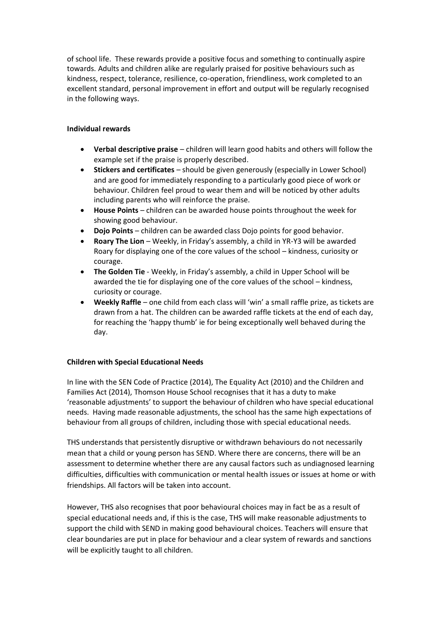of school life. These rewards provide a positive focus and something to continually aspire towards. Adults and children alike are regularly praised for positive behaviours such as kindness, respect, tolerance, resilience, co-operation, friendliness, work completed to an excellent standard, personal improvement in effort and output will be regularly recognised in the following ways.

## **Individual rewards**

- **Verbal descriptive praise** children will learn good habits and others will follow the example set if the praise is properly described.
- **Stickers and certificates** should be given generously (especially in Lower School) and are good for immediately responding to a particularly good piece of work or behaviour. Children feel proud to wear them and will be noticed by other adults including parents who will reinforce the praise.
- **House Points**  children can be awarded house points throughout the week for showing good behaviour.
- **Dojo Points**  children can be awarded class Dojo points for good behavior.
- **Roary The Lion** Weekly, in Friday's assembly, a child in YR-Y3 will be awarded Roary for displaying one of the core values of the school – kindness, curiosity or courage.
- **The Golden Tie**  Weekly, in Friday's assembly, a child in Upper School will be awarded the tie for displaying one of the core values of the school – kindness, curiosity or courage.
- **Weekly Raffle**  one child from each class will 'win' a small raffle prize, as tickets are drawn from a hat. The children can be awarded raffle tickets at the end of each day, for reaching the 'happy thumb' ie for being exceptionally well behaved during the day.

## **Children with Special Educational Needs**

In line with the SEN Code of Practice (2014), The Equality Act (2010) and the Children and Families Act (2014), Thomson House School recognises that it has a duty to make 'reasonable adjustments' to support the behaviour of children who have special educational needs. Having made reasonable adjustments, the school has the same high expectations of behaviour from all groups of children, including those with special educational needs.

THS understands that persistently disruptive or withdrawn behaviours do not necessarily mean that a child or young person has SEND. Where there are concerns, there will be an assessment to determine whether there are any causal factors such as undiagnosed learning difficulties, difficulties with communication or mental health issues or issues at home or with friendships. All factors will be taken into account.

However, THS also recognises that poor behavioural choices may in fact be as a result of special educational needs and, if this is the case, THS will make reasonable adjustments to support the child with SEND in making good behavioural choices. Teachers will ensure that clear boundaries are put in place for behaviour and a clear system of rewards and sanctions will be explicitly taught to all children.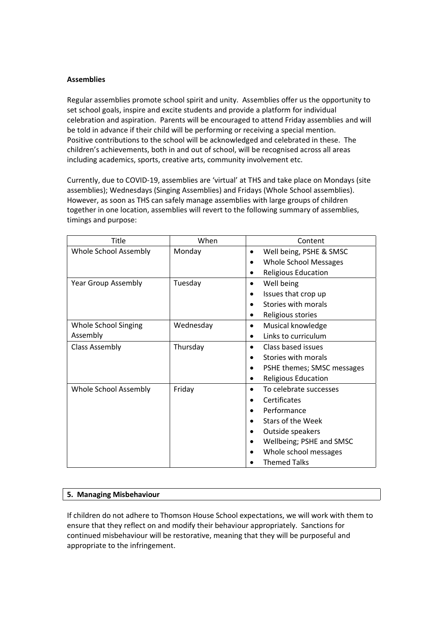## **Assemblies**

Regular assemblies promote school spirit and unity. Assemblies offer us the opportunity to set school goals, inspire and excite students and provide a platform for individual celebration and aspiration. Parents will be encouraged to attend Friday assemblies and will be told in advance if their child will be performing or receiving a special mention. Positive contributions to the school will be acknowledged and celebrated in these. The children's achievements, both in and out of school, will be recognised across all areas including academics, sports, creative arts, community involvement etc.

Currently, due to COVID-19, assemblies are 'virtual' at THS and take place on Mondays (site assemblies); Wednesdays (Singing Assemblies) and Fridays (Whole School assemblies). However, as soon as THS can safely manage assemblies with large groups of children together in one location, assemblies will revert to the following summary of assemblies, timings and purpose:

| Title                 | When      | Content                                   |
|-----------------------|-----------|-------------------------------------------|
| Whole School Assembly | Monday    | Well being, PSHE & SMSC<br>$\bullet$      |
|                       |           | <b>Whole School Messages</b><br>$\bullet$ |
|                       |           | <b>Religious Education</b><br>$\bullet$   |
| Year Group Assembly   | Tuesday   | Well being<br>$\bullet$                   |
|                       |           | Issues that crop up<br>$\bullet$          |
|                       |           | Stories with morals                       |
|                       |           | Religious stories<br>$\bullet$            |
| Whole School Singing  | Wednesday | Musical knowledge<br>$\bullet$            |
| Assembly              |           | Links to curriculum<br>$\bullet$          |
| <b>Class Assembly</b> | Thursday  | Class based issues<br>$\bullet$           |
|                       |           | Stories with morals<br>$\bullet$          |
|                       |           | PSHE themes; SMSC messages<br>$\bullet$   |
|                       |           | <b>Religious Education</b>                |
| Whole School Assembly | Friday    | To celebrate successes<br>$\bullet$       |
|                       |           | Certificates                              |
|                       |           | Performance<br>$\bullet$                  |
|                       |           | Stars of the Week                         |
|                       |           | Outside speakers                          |
|                       |           | Wellbeing; PSHE and SMSC<br>$\bullet$     |
|                       |           | Whole school messages                     |
|                       |           | <b>Themed Talks</b>                       |

## **5. Managing Misbehaviour**

If children do not adhere to Thomson House School expectations, we will work with them to ensure that they reflect on and modify their behaviour appropriately. Sanctions for continued misbehaviour will be restorative, meaning that they will be purposeful and appropriate to the infringement.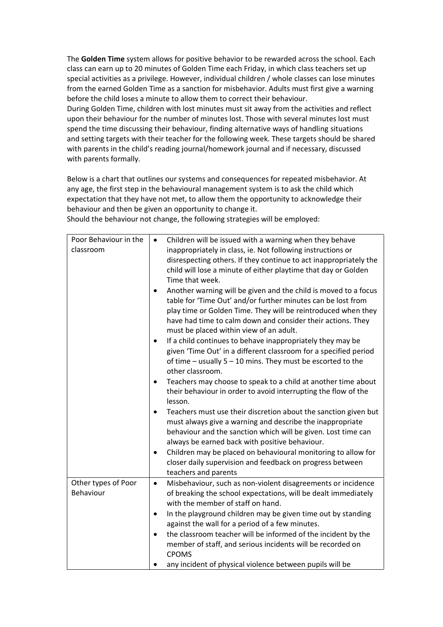The **Golden Time** system allows for positive behavior to be rewarded across the school. Each class can earn up to 20 minutes of Golden Time each Friday, in which class teachers set up special activities as a privilege. However, individual children / whole classes can lose minutes from the earned Golden Time as a sanction for misbehavior. Adults must first give a warning before the child loses a minute to allow them to correct their behaviour.

During Golden Time, children with lost minutes must sit away from the activities and reflect upon their behaviour for the number of minutes lost. Those with several minutes lost must spend the time discussing their behaviour, finding alternative ways of handling situations and setting targets with their teacher for the following week. These targets should be shared with parents in the child's reading journal/homework journal and if necessary, discussed with parents formally.

Below is a chart that outlines our systems and consequences for repeated misbehavior. At any age, the first step in the behavioural management system is to ask the child which expectation that they have not met, to allow them the opportunity to acknowledge their behaviour and then be given an opportunity to change it.

Should the behaviour not change, the following strategies will be employed:

| Poor Behaviour in the<br>classroom | Children will be issued with a warning when they behave<br>$\bullet$<br>inappropriately in class, ie. Not following instructions or<br>disrespecting others. If they continue to act inappropriately the<br>child will lose a minute of either playtime that day or Golden<br>Time that week.<br>Another warning will be given and the child is moved to a focus<br>$\bullet$<br>table for 'Time Out' and/or further minutes can be lost from |
|------------------------------------|-----------------------------------------------------------------------------------------------------------------------------------------------------------------------------------------------------------------------------------------------------------------------------------------------------------------------------------------------------------------------------------------------------------------------------------------------|
|                                    | play time or Golden Time. They will be reintroduced when they<br>have had time to calm down and consider their actions. They<br>must be placed within view of an adult.                                                                                                                                                                                                                                                                       |
|                                    | If a child continues to behave inappropriately they may be<br>given 'Time Out' in a different classroom for a specified period<br>of time $-$ usually 5 $-$ 10 mins. They must be escorted to the<br>other classroom.                                                                                                                                                                                                                         |
|                                    | Teachers may choose to speak to a child at another time about<br>their behaviour in order to avoid interrupting the flow of the<br>lesson.                                                                                                                                                                                                                                                                                                    |
|                                    | Teachers must use their discretion about the sanction given but<br>$\bullet$<br>must always give a warning and describe the inappropriate<br>behaviour and the sanction which will be given. Lost time can<br>always be earned back with positive behaviour.                                                                                                                                                                                  |
|                                    | Children may be placed on behavioural monitoring to allow for<br>$\bullet$<br>closer daily supervision and feedback on progress between<br>teachers and parents                                                                                                                                                                                                                                                                               |
| Other types of Poor<br>Behaviour   | Misbehaviour, such as non-violent disagreements or incidence<br>$\bullet$<br>of breaking the school expectations, will be dealt immediately<br>with the member of staff on hand.                                                                                                                                                                                                                                                              |
|                                    | In the playground children may be given time out by standing<br>$\bullet$<br>against the wall for a period of a few minutes.                                                                                                                                                                                                                                                                                                                  |
|                                    | the classroom teacher will be informed of the incident by the<br>member of staff, and serious incidents will be recorded on<br><b>CPOMS</b>                                                                                                                                                                                                                                                                                                   |
|                                    | any incident of physical violence between pupils will be                                                                                                                                                                                                                                                                                                                                                                                      |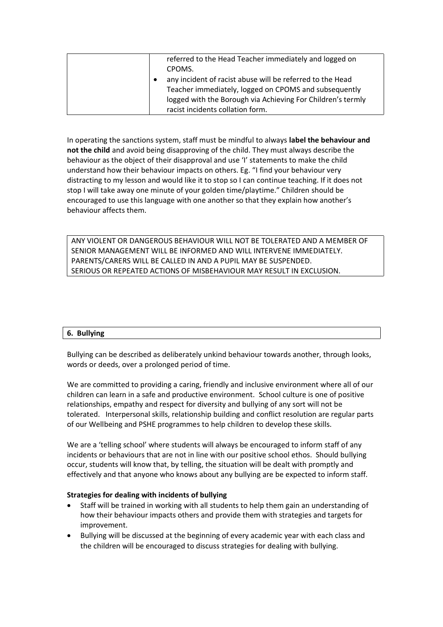| referred to the Head Teacher immediately and logged on<br>CPOMS.                                                   |
|--------------------------------------------------------------------------------------------------------------------|
| any incident of racist abuse will be referred to the Head<br>Teacher immediately, logged on CPOMS and subsequently |
| logged with the Borough via Achieving For Children's termly<br>racist incidents collation form.                    |

In operating the sanctions system, staff must be mindful to always **label the behaviour and not the child** and avoid being disapproving of the child. They must always describe the behaviour as the object of their disapproval and use 'I' statements to make the child understand how their behaviour impacts on others. Eg. "I find your behaviour very distracting to my lesson and would like it to stop so I can continue teaching. If it does not stop I will take away one minute of your golden time/playtime." Children should be encouraged to use this language with one another so that they explain how another's behaviour affects them.

ANY VIOLENT OR DANGEROUS BEHAVIOUR WILL NOT BE TOLERATED AND A MEMBER OF SENIOR MANAGEMENT WILL BE INFORMED AND WILL INTERVENE IMMEDIATELY. PARENTS/CARERS WILL BE CALLED IN AND A PUPIL MAY BE SUSPENDED. SERIOUS OR REPEATED ACTIONS OF MISBEHAVIOUR MAY RESULT IN EXCLUSION.

## **6. Bullying**

Bullying can be described as deliberately unkind behaviour towards another, through looks, words or deeds, over a prolonged period of time.

We are committed to providing a caring, friendly and inclusive environment where all of our children can learn in a safe and productive environment. School culture is one of positive relationships, empathy and respect for diversity and bullying of any sort will not be tolerated. Interpersonal skills, relationship building and conflict resolution are regular parts of our Wellbeing and PSHE programmes to help children to develop these skills.

We are a 'telling school' where students will always be encouraged to inform staff of any incidents or behaviours that are not in line with our positive school ethos. Should bullying occur, students will know that, by telling, the situation will be dealt with promptly and effectively and that anyone who knows about any bullying are be expected to inform staff.

## **Strategies for dealing with incidents of bullying**

- Staff will be trained in working with all students to help them gain an understanding of how their behaviour impacts others and provide them with strategies and targets for improvement.
- Bullying will be discussed at the beginning of every academic year with each class and the children will be encouraged to discuss strategies for dealing with bullying.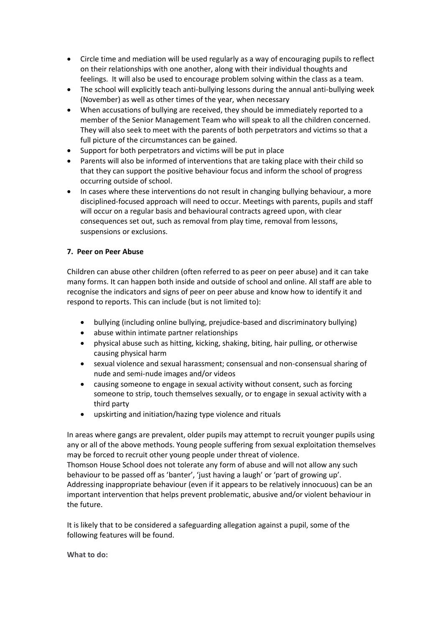- Circle time and mediation will be used regularly as a way of encouraging pupils to reflect on their relationships with one another, along with their individual thoughts and feelings. It will also be used to encourage problem solving within the class as a team.
- The school will explicitly teach anti-bullying lessons during the annual anti-bullying week (November) as well as other times of the year, when necessary
- When accusations of bullying are received, they should be immediately reported to a member of the Senior Management Team who will speak to all the children concerned. They will also seek to meet with the parents of both perpetrators and victims so that a full picture of the circumstances can be gained.
- Support for both perpetrators and victims will be put in place
- Parents will also be informed of interventions that are taking place with their child so that they can support the positive behaviour focus and inform the school of progress occurring outside of school.
- In cases where these interventions do not result in changing bullying behaviour, a more disciplined-focused approach will need to occur. Meetings with parents, pupils and staff will occur on a regular basis and behavioural contracts agreed upon, with clear consequences set out, such as removal from play time, removal from lessons, suspensions or exclusions.

## **7. Peer on Peer Abuse**

Children can abuse other children (often referred to as peer on peer abuse) and it can take many forms. It can happen both inside and outside of school and online. All staff are able to recognise the indicators and signs of peer on peer abuse and know how to identify it and respond to reports. This can include (but is not limited to):

- bullying (including online bullying, prejudice-based and discriminatory bullying)
- abuse within intimate partner relationships
- physical abuse such as hitting, kicking, shaking, biting, hair pulling, or otherwise causing physical harm
- sexual violence and sexual harassment; consensual and non-consensual sharing of nude and semi-nude images and/or videos
- causing someone to engage in sexual activity without consent, such as forcing someone to strip, touch themselves sexually, or to engage in sexual activity with a third party
- upskirting and initiation/hazing type violence and rituals

In areas where gangs are prevalent, older pupils may attempt to recruit younger pupils using any or all of the above methods. Young people suffering from sexual exploitation themselves may be forced to recruit other young people under threat of violence.

Thomson House School does not tolerate any form of abuse and will not allow any such behaviour to be passed off as 'banter', 'just having a laugh' or 'part of growing up'. Addressing inappropriate behaviour (even if it appears to be relatively innocuous) can be an important intervention that helps prevent problematic, abusive and/or violent behaviour in the future.

It is likely that to be considered a safeguarding allegation against a pupil, some of the following features will be found.

**What to do:**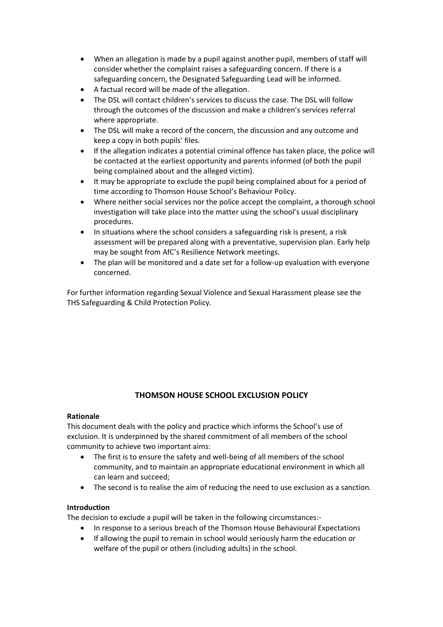- When an allegation is made by a pupil against another pupil, members of staff will consider whether the complaint raises a safeguarding concern. If there is a safeguarding concern, the Designated Safeguarding Lead will be informed.
- A factual record will be made of the allegation.
- The DSL will contact children's services to discuss the case. The DSL will follow through the outcomes of the discussion and make a children's services referral where appropriate.
- The DSL will make a record of the concern, the discussion and any outcome and keep a copy in both pupils' files.
- If the allegation indicates a potential criminal offence has taken place, the police will be contacted at the earliest opportunity and parents informed (of both the pupil being complained about and the alleged victim).
- It may be appropriate to exclude the pupil being complained about for a period of time according to Thomson House School's Behaviour Policy.
- Where neither social services nor the police accept the complaint, a thorough school investigation will take place into the matter using the school's usual disciplinary procedures.
- In situations where the school considers a safeguarding risk is present, a risk assessment will be prepared along with a preventative, supervision plan. Early help may be sought from AfC's Resilience Network meetings.
- The plan will be monitored and a date set for a follow-up evaluation with everyone concerned.

For further information regarding Sexual Violence and Sexual Harassment please see the THS Safeguarding & Child Protection Policy.

## **THOMSON HOUSE SCHOOL EXCLUSION POLICY**

## **Rationale**

This document deals with the policy and practice which informs the School's use of exclusion. It is underpinned by the shared commitment of all members of the school community to achieve two important aims:

- The first is to ensure the safety and well-being of all members of the school community, and to maintain an appropriate educational environment in which all can learn and succeed;
- The second is to realise the aim of reducing the need to use exclusion as a sanction.

## **Introduction**

The decision to exclude a pupil will be taken in the following circumstances:-

- In response to a serious breach of the Thomson House Behavioural Expectations
- If allowing the pupil to remain in school would seriously harm the education or welfare of the pupil or others (including adults) in the school.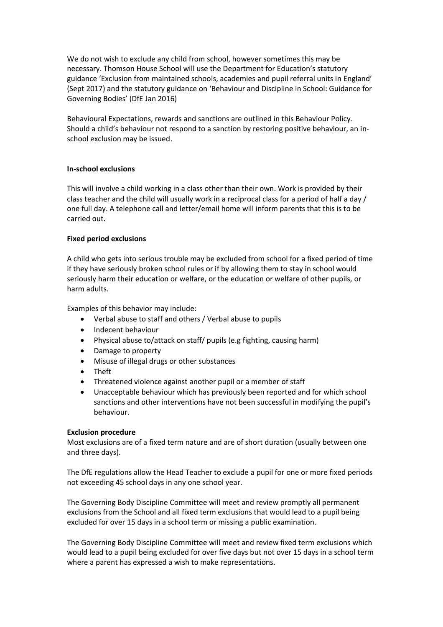We do not wish to exclude any child from school, however sometimes this may be necessary. Thomson House School will use the Department for Education's statutory guidance 'Exclusion from maintained schools, academies and pupil referral units in England' (Sept 2017) and the statutory guidance on 'Behaviour and Discipline in School: Guidance for Governing Bodies' (DfE Jan 2016)

Behavioural Expectations, rewards and sanctions are outlined in this Behaviour Policy. Should a child's behaviour not respond to a sanction by restoring positive behaviour, an inschool exclusion may be issued.

## **In-school exclusions**

This will involve a child working in a class other than their own. Work is provided by their class teacher and the child will usually work in a reciprocal class for a period of half a day / one full day. A telephone call and letter/email home will inform parents that this is to be carried out.

## **Fixed period exclusions**

A child who gets into serious trouble may be excluded from school for a fixed period of time if they have seriously broken school rules or if by allowing them to stay in school would seriously harm their education or welfare, or the education or welfare of other pupils, or harm adults.

Examples of this behavior may include:

- Verbal abuse to staff and others / Verbal abuse to pupils
- Indecent behaviour
- Physical abuse to/attack on staff/ pupils (e.g fighting, causing harm)
- Damage to property
- Misuse of illegal drugs or other substances
- Theft
- Threatened violence against another pupil or a member of staff
- Unacceptable behaviour which has previously been reported and for which school sanctions and other interventions have not been successful in modifying the pupil's behaviour.

## **Exclusion procedure**

Most exclusions are of a fixed term nature and are of short duration (usually between one and three days).

The DfE regulations allow the Head Teacher to exclude a pupil for one or more fixed periods not exceeding 45 school days in any one school year.

The Governing Body Discipline Committee will meet and review promptly all permanent exclusions from the School and all fixed term exclusions that would lead to a pupil being excluded for over 15 days in a school term or missing a public examination.

The Governing Body Discipline Committee will meet and review fixed term exclusions which would lead to a pupil being excluded for over five days but not over 15 days in a school term where a parent has expressed a wish to make representations.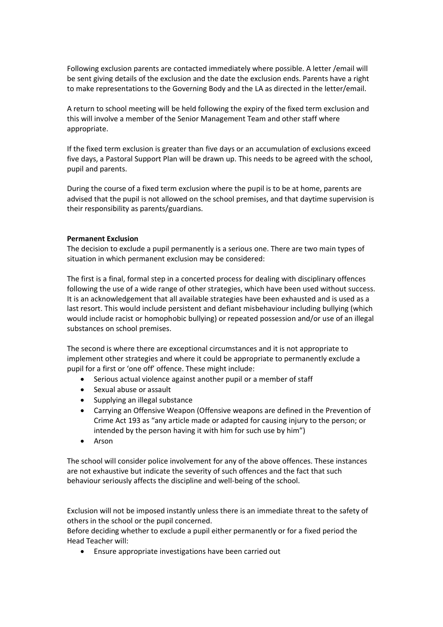Following exclusion parents are contacted immediately where possible. A letter /email will be sent giving details of the exclusion and the date the exclusion ends. Parents have a right to make representations to the Governing Body and the LA as directed in the letter/email.

A return to school meeting will be held following the expiry of the fixed term exclusion and this will involve a member of the Senior Management Team and other staff where appropriate.

If the fixed term exclusion is greater than five days or an accumulation of exclusions exceed five days, a Pastoral Support Plan will be drawn up. This needs to be agreed with the school, pupil and parents.

During the course of a fixed term exclusion where the pupil is to be at home, parents are advised that the pupil is not allowed on the school premises, and that daytime supervision is their responsibility as parents/guardians.

#### **Permanent Exclusion**

The decision to exclude a pupil permanently is a serious one. There are two main types of situation in which permanent exclusion may be considered:

The first is a final, formal step in a concerted process for dealing with disciplinary offences following the use of a wide range of other strategies, which have been used without success. It is an acknowledgement that all available strategies have been exhausted and is used as a last resort. This would include persistent and defiant misbehaviour including bullying (which would include racist or homophobic bullying) or repeated possession and/or use of an illegal substances on school premises.

The second is where there are exceptional circumstances and it is not appropriate to implement other strategies and where it could be appropriate to permanently exclude a pupil for a first or 'one off' offence. These might include:

- Serious actual violence against another pupil or a member of staff
- Sexual abuse or assault
- Supplying an illegal substance
- Carrying an Offensive Weapon (Offensive weapons are defined in the Prevention of Crime Act 193 as "any article made or adapted for causing injury to the person; or intended by the person having it with him for such use by him")
- Arson

The school will consider police involvement for any of the above offences. These instances are not exhaustive but indicate the severity of such offences and the fact that such behaviour seriously affects the discipline and well-being of the school.

Exclusion will not be imposed instantly unless there is an immediate threat to the safety of others in the school or the pupil concerned.

Before deciding whether to exclude a pupil either permanently or for a fixed period the Head Teacher will:

• Ensure appropriate investigations have been carried out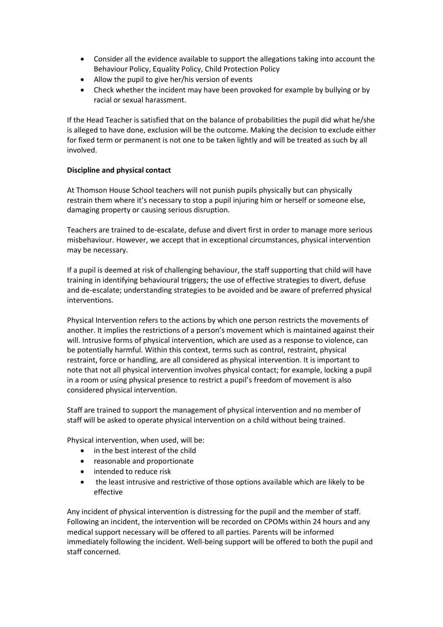- Consider all the evidence available to support the allegations taking into account the Behaviour Policy, Equality Policy, Child Protection Policy
- Allow the pupil to give her/his version of events
- Check whether the incident may have been provoked for example by bullying or by racial or sexual harassment.

If the Head Teacher is satisfied that on the balance of probabilities the pupil did what he/she is alleged to have done, exclusion will be the outcome. Making the decision to exclude either for fixed term or permanent is not one to be taken lightly and will be treated as such by all involved.

## **Discipline and physical contact**

At Thomson House School teachers will not punish pupils physically but can physically restrain them where it's necessary to stop a pupil injuring him or herself or someone else, damaging property or causing serious disruption.

Teachers are trained to de-escalate, defuse and divert first in order to manage more serious misbehaviour. However, we accept that in exceptional circumstances, physical intervention may be necessary.

If a pupil is deemed at risk of challenging behaviour, the staff supporting that child will have training in identifying behavioural triggers; the use of effective strategies to divert, defuse and de-escalate; understanding strategies to be avoided and be aware of preferred physical interventions.

Physical Intervention refers to the actions by which one person restricts the movements of another. It implies the restrictions of a person's movement which is maintained against their will. Intrusive forms of physical intervention, which are used as a response to violence, can be potentially harmful. Within this context, terms such as control, restraint, physical restraint, force or handling, are all considered as physical intervention. It is important to note that not all physical intervention involves physical contact; for example, locking a pupil in a room or using physical presence to restrict a pupil's freedom of movement is also considered physical intervention.

Staff are trained to support the management of physical intervention and no member of staff will be asked to operate physical intervention on a child without being trained.

Physical intervention, when used, will be:

- in the best interest of the child
- reasonable and proportionate
- intended to reduce risk
- the least intrusive and restrictive of those options available which are likely to be effective

Any incident of physical intervention is distressing for the pupil and the member of staff. Following an incident, the intervention will be recorded on CPOMs within 24 hours and any medical support necessary will be offered to all parties. Parents will be informed immediately following the incident. Well-being support will be offered to both the pupil and staff concerned.